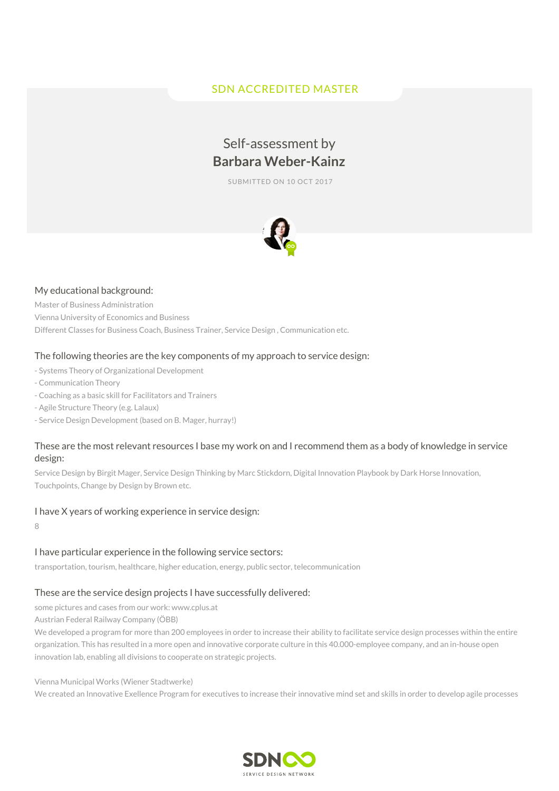# SDN ACCREDITED MASTER

# Self-assessment by **Barbara Weber-Kainz**

SUBMITTED ON 10 OCT 2017



#### My educational background:

Master of Business Administration Vienna University of Economics and Business Different Classes for Business Coach, Business Trainer, Service Design , Communication etc.

#### The following theories are the key components of my approach to service design:

- Systems Theory of Organizational Development
- Communication Theory
- Coaching as a basic skill for Facilitators and Trainers
- Agile Structure Theory (e.g. Lalaux)
- Service Design Development (based on B. Mager, hurray!)

## These are the most relevant resources I base my work on and I recommend them as a body of knowledge in service design:

Service Design by Birgit Mager, Service Design Thinking by Marc Stickdorn, Digital Innovation Playbook by Dark Horse Innovation, Touchpoints, Change by Design by Brown etc.

#### I have X years of working experience in service design:

8

# I have particular experience in the following service sectors:

transportation, tourism, healthcare, higher education, energy, public sector, telecommunication

# These are the service design projects I have successfully delivered:

some pictures and cases from our work: www.cplus.at

Austrian Federal Railway Company (ÖBB)

We developed a program for more than 200 employees in order to increase their ability to facilitate service design processes within the entire organization. This has resulted in a more open and innovative corporate culture in this 40.000-employee company, and an in-house open innovation lab, enabling all divisions to cooperate on strategic projects.

Vienna Municipal Works (Wiener Stadtwerke)

We created an Innovative Exellence Program for executives to increase their innovative mind set and skills in order to develop agile processes

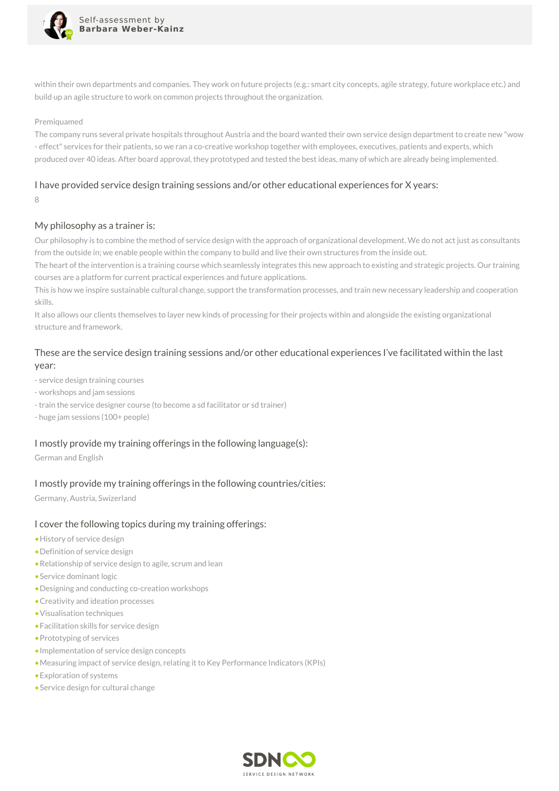

within their own departments and companies. They work on future projects (e.g.: smart city concepts, agile strategy, future workplace etc.) and build up an agile structure to work on common projects throughout the organization.

#### Premiguamed

The company runs several private hospitals throughout Austria and the board wanted their own service design department to create new "wow - effect" services for their patients, so we ran a co-creative workshop together with employees, executives, patients and experts, which produced over 40 ideas. After board approval, they prototyped and tested the best ideas, many of which are already being implemented.

#### I have provided service design training sessions and/or other educational experiences for X years:

8

#### My philosophy as a trainer is:

Our philosophy is to combine the method of service design with the approach of organizational development. We do not act just as consultants from the outside in; we enable people within the company to build and live their own structures from the inside out.

The heart of the intervention is a training course which seamlessly integrates this new approach to existing and strategic projects. Our training courses are a platform for current practical experiences and future applications.

This is how we inspire sustainable cultural change, support the transformation processes, and train new necessary leadership and cooperation skills.

It also allows our clients themselves to layer new kinds of processing for their projects within and alongside the existing organizational structure and framework.

## These are the service design training sessions and/or other educational experiences I've facilitated within the last year:

- service design training courses

- workshops and jam sessions
- train the service designer course (to become a sd facilitator or sd trainer)
- huge jam sessions (100+ people)

#### I mostly provide my training offerings in the following language(s):

German and English

#### I mostly provide my training offerings in the following countries/cities:

Germany, Austria, Swizerland

#### I cover the following topics during my training offerings:

- •History of service design
- •Definition of service design
- •Relationship of service design to agile, scrum and lean
- •Service dominant logic
- •Designing and conducting co-creation workshops
- •Creativity and ideation processes
- •Visualisation techniques
- •Facilitation skills for service design
- •Prototyping of services
- •Implementation of service design concepts
- •Measuring impact of service design, relating it to Key Performance Indicators (KPIs)
- •Exploration of systems
- •Service design for cultural change

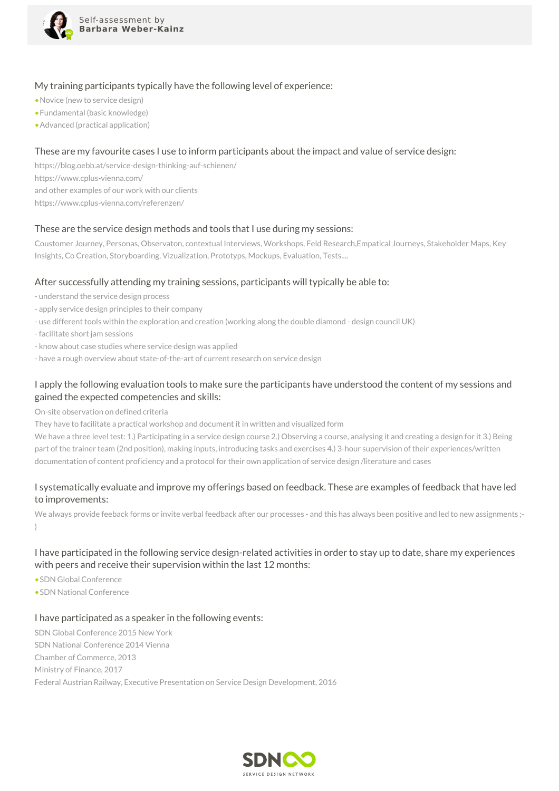

#### My training participants typically have the following level of experience:

- •Novice (new to service design)
- •Fundamental (basic knowledge)
- •Advanced (practical application)

#### These are my favourite cases I use to inform participants about the impact and value of service design:

https://blog.oebb.at/service-design-thinking-auf-schienen/ https://www.cplus-vienna.com/ and other examples of our work with our clients https://www.cplus-vienna.com/referenzen/

#### These are the service design methods and tools that I use during my sessions:

Coustomer Journey, Personas, Observaton, contextual Interviews, Workshops, Feld Research,Empatical Journeys, Stakeholder Maps, Key Insights, Co Creation, Storyboarding, Vizualization, Prototyps, Mockups, Evaluation, Tests....

#### After successfully attending my training sessions, participants will typically be able to:

- understand the service design process
- apply service design principles to their company
- use different tools within the exploration and creation (working along the double diamond design council UK)
- facilitate short jam sessions
- know about case studies where service design was applied
- have a rough overview about state-of-the-art of current research on service design

## I apply the following evaluation tools to make sure the participants have understood the content of my sessions and gained the expected competencies and skills:

On-site observation on defined criteria

They have to facilitate a practical workshop and document it in written and visualized form

We have a three level test: 1.) Participating in a service design course 2.) Observing a course, analysing it and creating a design for it 3.) Being part of the trainer team (2nd position), making inputs, introducing tasks and exercises 4.) 3-hour supervision of their experiences/written documentation of content proficiency and a protocol for their own application of service design /literature and cases

## I systematically evaluate and improve my offerings based on feedback. These are examples of feedback that have led to improvements:

We always provide feeback forms or invite verbal feedback after our processes - and this has always been positive and led to new assignments ;-)

## I have participated in the following service design-related activities in order to stay up to date, share my experiences with peers and receive their supervision within the last 12 months:

- •SDN Global Conference
- •SDN National Conference

#### I have participated as a speaker in the following events:

SDN Global Conference 2015 New York SDN National Conference 2014 Vienna Chamber of Commerce, 2013 Ministry of Finance, 2017 Federal Austrian Railway, Executive Presentation on Service Design Development, 2016